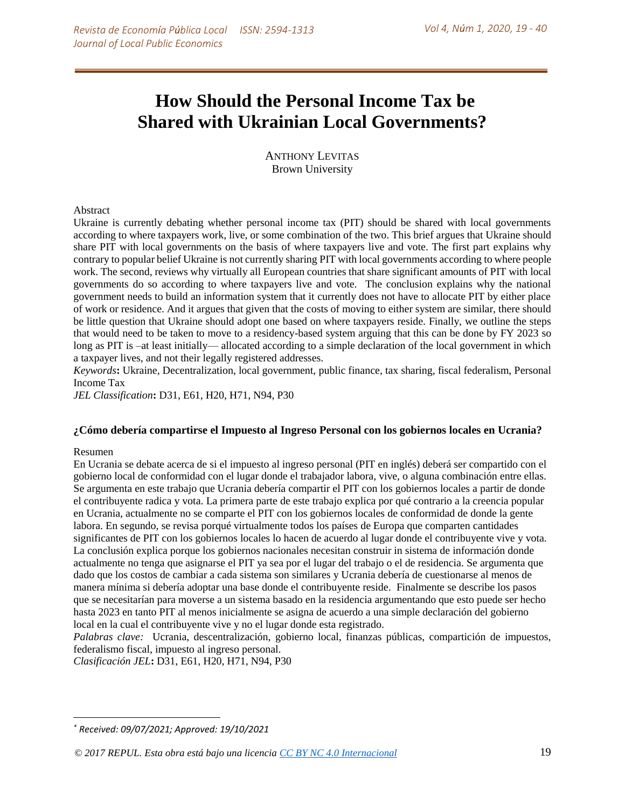# **\*How Should the Personal Income Tax be Shared with Ukrainian Local Governments?**

ANTHONY LEVITAS Brown University

#### Abstract

Ukraine is currently debating whether personal income tax (PIT) should be shared with local governments according to where taxpayers work, live, or some combination of the two. This brief argues that Ukraine should share PIT with local governments on the basis of where taxpayers live and vote. The first part explains why contrary to popular belief Ukraine is not currently sharing PIT with local governments according to where people work. The second, reviews why virtually all European countries that share significant amounts of PIT with local governments do so according to where taxpayers live and vote. The conclusion explains why the national government needs to build an information system that it currently does not have to allocate PIT by either place of work or residence. And it argues that given that the costs of moving to either system are similar, there should be little question that Ukraine should adopt one based on where taxpayers reside. Finally, we outline the steps that would need to be taken to move to a residency-based system arguing that this can be done by FY 2023 so long as PIT is –at least initially— allocated according to a simple declaration of the local government in which a taxpayer lives, and not their legally registered addresses.

*Keywords***:** Ukraine, Decentralization, local government, public finance, tax sharing, fiscal federalism, Personal Income Tax

*JEL Classification***:** D31, E61, H20, H71, N94, P30

#### **¿Cómo debería compartirse el Impuesto al Ingreso Personal con los gobiernos locales en Ucrania?**

#### Resumen

 $\overline{\phantom{a}}$ 

En Ucrania se debate acerca de si el impuesto al ingreso personal (PIT en inglés) deberá ser compartido con el gobierno local de conformidad con el lugar donde el trabajador labora, vive, o alguna combinación entre ellas. Se argumenta en este trabajo que Ucrania debería compartir el PIT con los gobiernos locales a partir de donde el contribuyente radica y vota. La primera parte de este trabajo explica por qué contrario a la creencia popular en Ucrania, actualmente no se comparte el PIT con los gobiernos locales de conformidad de donde la gente labora. En segundo, se revisa porqué virtualmente todos los países de Europa que comparten cantidades significantes de PIT con los gobiernos locales lo hacen de acuerdo al lugar donde el contribuyente vive y vota. La conclusión explica porque los gobiernos nacionales necesitan construir in sistema de información donde actualmente no tenga que asignarse el PIT ya sea por el lugar del trabajo o el de residencia. Se argumenta que dado que los costos de cambiar a cada sistema son similares y Ucrania debería de cuestionarse al menos de manera mínima si debería adoptar una base donde el contribuyente reside. Finalmente se describe los pasos que se necesitarían para moverse a un sistema basado en la residencia argumentando que esto puede ser hecho hasta 2023 en tanto PIT al menos inicialmente se asigna de acuerdo a una simple declaración del gobierno local en la cual el contribuyente vive y no el lugar donde esta registrado.

*Palabras clave:* Ucrania, descentralización, gobierno local, finanzas públicas, compartición de impuestos, federalismo fiscal, impuesto al ingreso personal.

*Clasificación JEL***:** D31, E61, H20, H71, N94, P30

*<sup>\*</sup> Received: 09/07/2021; Approved: 19/10/2021*

*<sup>© 2017</sup> REPUL. Esta obra está bajo una licencia [CC BY NC 4.0 Internacional](http://creativecommons.org/licenses/by-nc/4.0/)* 19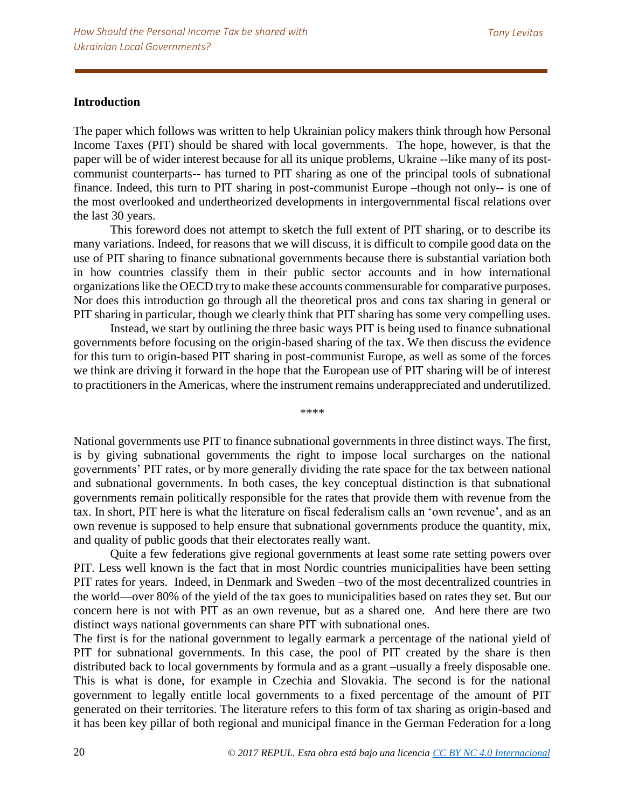## **Introduction**

The paper which follows was written to help Ukrainian policy makers think through how Personal Income Taxes (PIT) should be shared with local governments. The hope, however, is that the paper will be of wider interest because for all its unique problems, Ukraine --like many of its postcommunist counterparts-- has turned to PIT sharing as one of the principal tools of subnational finance. Indeed, this turn to PIT sharing in post-communist Europe –though not only-- is one of the most overlooked and undertheorized developments in intergovernmental fiscal relations over the last 30 years.

This foreword does not attempt to sketch the full extent of PIT sharing, or to describe its many variations. Indeed, for reasons that we will discuss, it is difficult to compile good data on the use of PIT sharing to finance subnational governments because there is substantial variation both in how countries classify them in their public sector accounts and in how international organizations like the OECD try to make these accounts commensurable for comparative purposes. Nor does this introduction go through all the theoretical pros and cons tax sharing in general or PIT sharing in particular, though we clearly think that PIT sharing has some very compelling uses.

Instead, we start by outlining the three basic ways PIT is being used to finance subnational governments before focusing on the origin-based sharing of the tax. We then discuss the evidence for this turn to origin-based PIT sharing in post-communist Europe, as well as some of the forces we think are driving it forward in the hope that the European use of PIT sharing will be of interest to practitioners in the Americas, where the instrument remains underappreciated and underutilized.

\*\*\*\*

National governments use PIT to finance subnational governments in three distinct ways. The first, is by giving subnational governments the right to impose local surcharges on the national governments' PIT rates, or by more generally dividing the rate space for the tax between national and subnational governments. In both cases, the key conceptual distinction is that subnational governments remain politically responsible for the rates that provide them with revenue from the tax. In short, PIT here is what the literature on fiscal federalism calls an 'own revenue', and as an own revenue is supposed to help ensure that subnational governments produce the quantity, mix, and quality of public goods that their electorates really want.

Quite a few federations give regional governments at least some rate setting powers over PIT. Less well known is the fact that in most Nordic countries municipalities have been setting PIT rates for years. Indeed, in Denmark and Sweden –two of the most decentralized countries in the world—over 80% of the yield of the tax goes to municipalities based on rates they set. But our concern here is not with PIT as an own revenue, but as a shared one. And here there are two distinct ways national governments can share PIT with subnational ones.

The first is for the national government to legally earmark a percentage of the national yield of PIT for subnational governments. In this case, the pool of PIT created by the share is then distributed back to local governments by formula and as a grant –usually a freely disposable one. This is what is done, for example in Czechia and Slovakia. The second is for the national government to legally entitle local governments to a fixed percentage of the amount of PIT generated on their territories. The literature refers to this form of tax sharing as origin-based and it has been key pillar of both regional and municipal finance in the German Federation for a long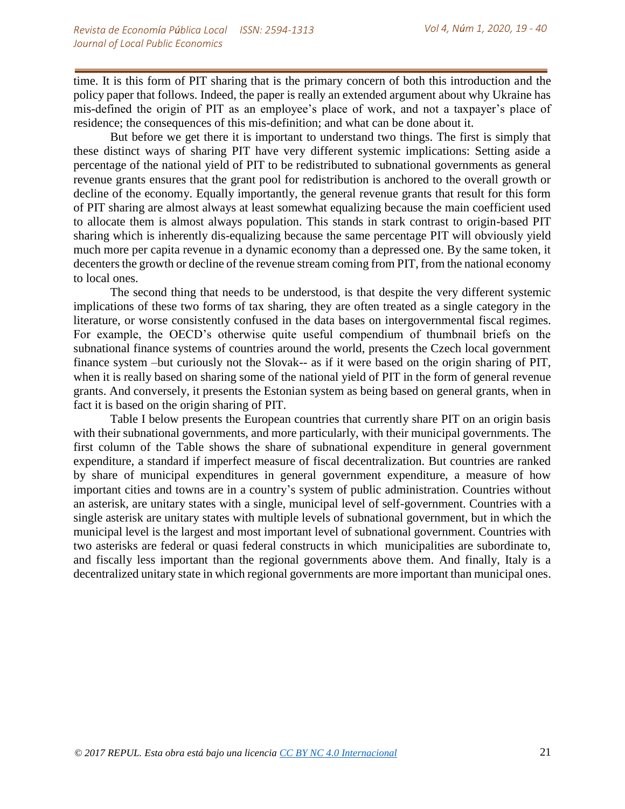time. It is this form of PIT sharing that is the primary concern of both this introduction and the policy paper that follows. Indeed, the paper is really an extended argument about why Ukraine has mis-defined the origin of PIT as an employee's place of work, and not a taxpayer's place of residence; the consequences of this mis-definition; and what can be done about it.

But before we get there it is important to understand two things. The first is simply that these distinct ways of sharing PIT have very different systemic implications: Setting aside a percentage of the national yield of PIT to be redistributed to subnational governments as general revenue grants ensures that the grant pool for redistribution is anchored to the overall growth or decline of the economy. Equally importantly, the general revenue grants that result for this form of PIT sharing are almost always at least somewhat equalizing because the main coefficient used to allocate them is almost always population. This stands in stark contrast to origin-based PIT sharing which is inherently dis-equalizing because the same percentage PIT will obviously yield much more per capita revenue in a dynamic economy than a depressed one. By the same token, it decenters the growth or decline of the revenue stream coming from PIT, from the national economy to local ones.

The second thing that needs to be understood, is that despite the very different systemic implications of these two forms of tax sharing, they are often treated as a single category in the literature, or worse consistently confused in the data bases on intergovernmental fiscal regimes. For example, the OECD's otherwise quite useful compendium of thumbnail briefs on the subnational finance systems of countries around the world, presents the Czech local government finance system –but curiously not the Slovak-- as if it were based on the origin sharing of PIT, when it is really based on sharing some of the national yield of PIT in the form of general revenue grants. And conversely, it presents the Estonian system as being based on general grants, when in fact it is based on the origin sharing of PIT.

Table I below presents the European countries that currently share PIT on an origin basis with their subnational governments, and more particularly, with their municipal governments. The first column of the Table shows the share of subnational expenditure in general government expenditure, a standard if imperfect measure of fiscal decentralization. But countries are ranked by share of municipal expenditures in general government expenditure, a measure of how important cities and towns are in a country's system of public administration. Countries without an asterisk, are unitary states with a single, municipal level of self-government. Countries with a single asterisk are unitary states with multiple levels of subnational government, but in which the municipal level is the largest and most important level of subnational government. Countries with two asterisks are federal or quasi federal constructs in which municipalities are subordinate to, and fiscally less important than the regional governments above them. And finally, Italy is a decentralized unitary state in which regional governments are more important than municipal ones.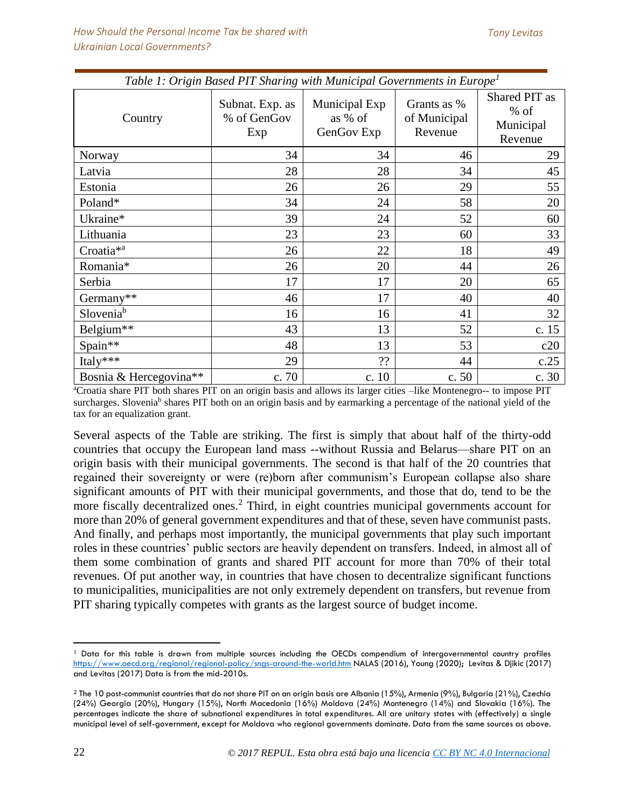| $\mathbf{\mathcal{C}}$ | $\mathbf{\mathcal{C}}$                | $\mathbf{I}$                           |                                        |                                                 |
|------------------------|---------------------------------------|----------------------------------------|----------------------------------------|-------------------------------------------------|
| Country                | Subnat. Exp. as<br>% of GenGov<br>Exp | Municipal Exp<br>as % of<br>GenGov Exp | Grants as %<br>of Municipal<br>Revenue | Shared PIT as<br>$%$ of<br>Municipal<br>Revenue |
| Norway                 | 34                                    | 34                                     | 46                                     | 29                                              |
| Latvia                 | 28                                    | 28                                     | 34                                     | 45                                              |
| Estonia                | 26                                    | 26                                     | 29                                     | 55                                              |
| Poland*                | 34                                    | 24                                     | 58                                     | 20                                              |
| Ukraine*               | 39                                    | 24                                     | 52                                     | 60                                              |
| Lithuania              | 23                                    | 23                                     | 60                                     | 33                                              |
| Croatia <sup>*a</sup>  | 26                                    | 22                                     | 18                                     | 49                                              |
| Romania*               | 26                                    | 20                                     | 44                                     | 26                                              |
| Serbia                 | 17                                    | 17                                     | 20                                     | 65                                              |
| Germany**              | 46                                    | 17                                     | 40                                     | 40                                              |
| Slovenia <sup>b</sup>  | 16                                    | 16                                     | 41                                     | 32                                              |
| Belgium**              | 43                                    | 13                                     | 52                                     | c. 15                                           |
| Spain**                | 48                                    | 13                                     | 53                                     | c20                                             |
| Italy***               | 29                                    | 22                                     | 44                                     | c.25                                            |
| Bosnia & Hercegovina** | c. 70                                 | c. $10$                                | c. 50                                  | c. 30                                           |

*Table 1: Origin Based PIT Sharing with Municipal Governments in Europe<sup>1</sup>*

<sup>a</sup>Croatia share PIT both shares PIT on an origin basis and allows its larger cities –like Montenegro-- to impose PIT surcharges. Slovenia<sup>b</sup> shares PIT both on an origin basis and by earmarking a percentage of the national yield of the tax for an equalization grant.

Several aspects of the Table are striking. The first is simply that about half of the thirty-odd countries that occupy the European land mass --without Russia and Belarus—share PIT on an origin basis with their municipal governments. The second is that half of the 20 countries that regained their sovereignty or were (re)born after communism's European collapse also share significant amounts of PIT with their municipal governments, and those that do, tend to be the more fiscally decentralized ones.<sup>2</sup> Third, in eight countries municipal governments account for more than 20% of general government expenditures and that of these, seven have communist pasts. And finally, and perhaps most importantly, the municipal governments that play such important roles in these countries' public sectors are heavily dependent on transfers. Indeed, in almost all of them some combination of grants and shared PIT account for more than 70% of their total revenues. Of put another way, in countries that have chosen to decentralize significant functions to municipalities, municipalities are not only extremely dependent on transfers, but revenue from PIT sharing typically competes with grants as the largest source of budget income.

 $\overline{a}$ <sup>1</sup> Data for this table is drawn from multiple sources including the OECDs compendium of intergovernmental country profiles <https://www.oecd.org/regional/regional-policy/sngs-around-the-world.htm> NALAS (2016), Young (2020); Levitas & Djikic (2017) and Levitas (2017) Data is from the mid-2010s.

<sup>2</sup> The 10 post-communist countries that do not share PIT on an origin basis are Albania (15%), Armenia (9%), Bulgaria (21%), Czechia (24%) Georgia (20%), Hungary (15%), North Macedonia (16%) Moldova (24%) Montenegro (14%) and Slovakia (16%). The percentages indicate the share of subnational expenditures in total expenditures. All are unitary states with (effectively) a single municipal level of self-government, except for Moldova who regional governments dominate. Data from the same sources as above.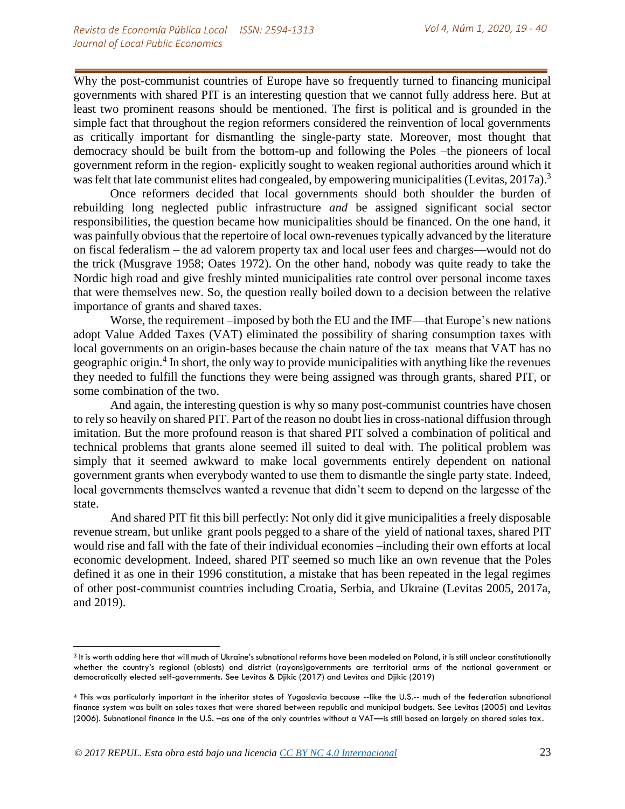Why the post-communist countries of Europe have so frequently turned to financing municipal governments with shared PIT is an interesting question that we cannot fully address here. But at least two prominent reasons should be mentioned. The first is political and is grounded in the simple fact that throughout the region reformers considered the reinvention of local governments as critically important for dismantling the single-party state. Moreover, most thought that democracy should be built from the bottom-up and following the Poles –the pioneers of local government reform in the region- explicitly sought to weaken regional authorities around which it was felt that late communist elites had congealed, by empowering municipalities (Levitas, 2017a).<sup>3</sup>

Once reformers decided that local governments should both shoulder the burden of rebuilding long neglected public infrastructure *and* be assigned significant social sector responsibilities, the question became how municipalities should be financed. On the one hand, it was painfully obvious that the repertoire of local own-revenues typically advanced by the literature on fiscal federalism – the ad valorem property tax and local user fees and charges—would not do the trick (Musgrave 1958; Oates 1972). On the other hand, nobody was quite ready to take the Nordic high road and give freshly minted municipalities rate control over personal income taxes that were themselves new. So, the question really boiled down to a decision between the relative importance of grants and shared taxes.

Worse, the requirement –imposed by both the EU and the IMF—that Europe's new nations adopt Value Added Taxes (VAT) eliminated the possibility of sharing consumption taxes with local governments on an origin-bases because the chain nature of the tax means that VAT has no geographic origin.<sup>4</sup> In short, the only way to provide municipalities with anything like the revenues they needed to fulfill the functions they were being assigned was through grants, shared PIT, or some combination of the two.

And again, the interesting question is why so many post-communist countries have chosen to rely so heavily on shared PIT. Part of the reason no doubt lies in cross-national diffusion through imitation. But the more profound reason is that shared PIT solved a combination of political and technical problems that grants alone seemed ill suited to deal with. The political problem was simply that it seemed awkward to make local governments entirely dependent on national government grants when everybody wanted to use them to dismantle the single party state. Indeed, local governments themselves wanted a revenue that didn't seem to depend on the largesse of the state.

And shared PIT fit this bill perfectly: Not only did it give municipalities a freely disposable revenue stream, but unlike grant pools pegged to a share of the yield of national taxes, shared PIT would rise and fall with the fate of their individual economies –including their own efforts at local economic development. Indeed, shared PIT seemed so much like an own revenue that the Poles defined it as one in their 1996 constitution, a mistake that has been repeated in the legal regimes of other post-communist countries including Croatia, Serbia, and Ukraine (Levitas 2005, 2017a, and 2019).

l

<sup>&</sup>lt;sup>3</sup> It is worth adding here that will much of Ukraine's subnational reforms have been modeled on Poland, it is still unclear constitutionally whether the country's regional (oblasts) and district (rayons)governments are territorial arms of the national government or democratically elected self-governments. See Levitas & Djikic (2017) and Levitas and Djikic (2019)

<sup>4</sup> This was particularly important in the inheritor states of Yugoslavia because --like the U.S.-- much of the federation subnational finance system was built on sales taxes that were shared between republic and municipal budgets. See Levitas (2005) and Levitas (2006). Subnational finance in the U.S. –as one of the only countries without a VAT—is still based on largely on shared sales tax.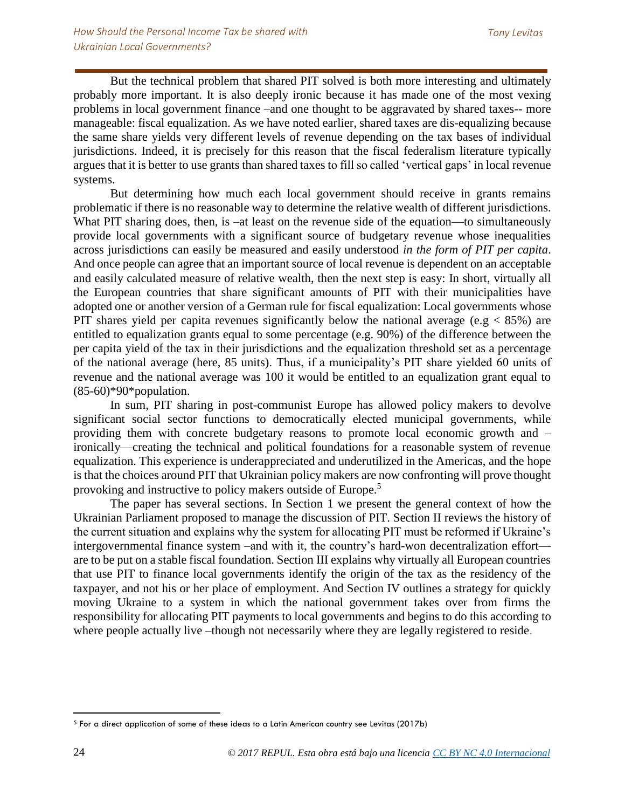But the technical problem that shared PIT solved is both more interesting and ultimately probably more important. It is also deeply ironic because it has made one of the most vexing problems in local government finance –and one thought to be aggravated by shared taxes-- more manageable: fiscal equalization. As we have noted earlier, shared taxes are dis-equalizing because the same share yields very different levels of revenue depending on the tax bases of individual jurisdictions. Indeed, it is precisely for this reason that the fiscal federalism literature typically argues that it is better to use grants than shared taxes to fill so called 'vertical gaps' in local revenue systems.

But determining how much each local government should receive in grants remains problematic if there is no reasonable way to determine the relative wealth of different jurisdictions. What PIT sharing does, then, is –at least on the revenue side of the equation—to simultaneously provide local governments with a significant source of budgetary revenue whose inequalities across jurisdictions can easily be measured and easily understood *in the form of PIT per capita*. And once people can agree that an important source of local revenue is dependent on an acceptable and easily calculated measure of relative wealth, then the next step is easy: In short, virtually all the European countries that share significant amounts of PIT with their municipalities have adopted one or another version of a German rule for fiscal equalization: Local governments whose PIT shares yield per capita revenues significantly below the national average (e.g  $<$  85%) are entitled to equalization grants equal to some percentage (e.g. 90%) of the difference between the per capita yield of the tax in their jurisdictions and the equalization threshold set as a percentage of the national average (here, 85 units). Thus, if a municipality's PIT share yielded 60 units of revenue and the national average was 100 it would be entitled to an equalization grant equal to  $(85-60)*90*$ population.

In sum, PIT sharing in post-communist Europe has allowed policy makers to devolve significant social sector functions to democratically elected municipal governments, while providing them with concrete budgetary reasons to promote local economic growth and – ironically—creating the technical and political foundations for a reasonable system of revenue equalization. This experience is underappreciated and underutilized in the Americas, and the hope is that the choices around PIT that Ukrainian policy makers are now confronting will prove thought provoking and instructive to policy makers outside of Europe.<sup>5</sup>

The paper has several sections. In Section 1 we present the general context of how the Ukrainian Parliament proposed to manage the discussion of PIT. Section II reviews the history of the current situation and explains why the system for allocating PIT must be reformed if Ukraine's intergovernmental finance system –and with it, the country's hard-won decentralization effort are to be put on a stable fiscal foundation. Section III explains why virtually all European countries that use PIT to finance local governments identify the origin of the tax as the residency of the taxpayer, and not his or her place of employment. And Section IV outlines a strategy for quickly moving Ukraine to a system in which the national government takes over from firms the responsibility for allocating PIT payments to local governments and begins to do this according to where people actually live –though not necessarily where they are legally registered to reside.

 $\overline{a}$ <sup>5</sup> For a direct application of some of these ideas to a Latin American country see Levitas (2017b)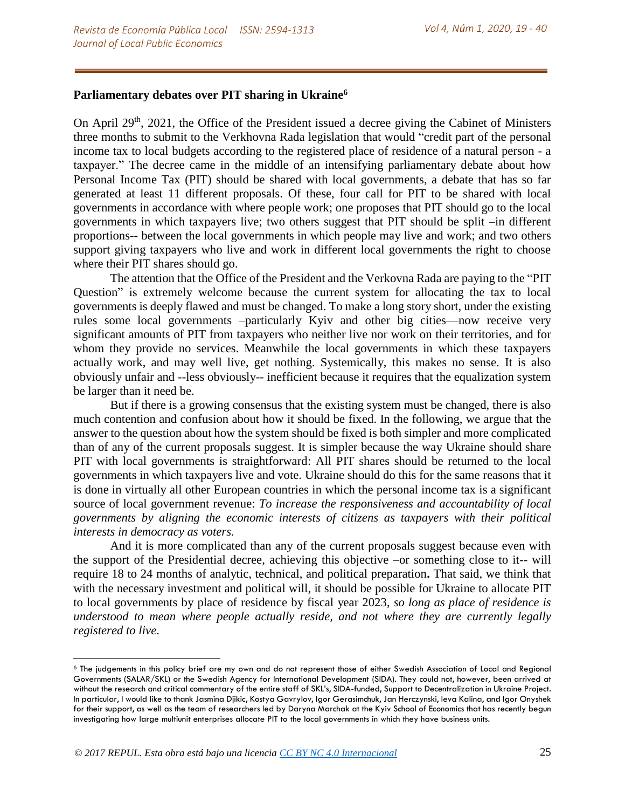## **Parliamentary debates over PIT sharing in Ukraine<sup>6</sup>**

On April  $29<sup>th</sup>$ ,  $2021$ , the Office of the President issued a decree giving the Cabinet of Ministers three months to submit to the Verkhovna Rada legislation that would "credit part of the personal income tax to local budgets according to the registered place of residence of a natural person - a taxpayer." The decree came in the middle of an intensifying parliamentary debate about how Personal Income Tax (PIT) should be shared with local governments, a debate that has so far generated at least 11 different proposals. Of these, four call for PIT to be shared with local governments in accordance with where people work; one proposes that PIT should go to the local governments in which taxpayers live; two others suggest that PIT should be split –in different proportions-- between the local governments in which people may live and work; and two others support giving taxpayers who live and work in different local governments the right to choose where their PIT shares should go.

The attention that the Office of the President and the Verkovna Rada are paying to the "PIT Question" is extremely welcome because the current system for allocating the tax to local governments is deeply flawed and must be changed. To make a long story short, under the existing rules some local governments –particularly Kyiv and other big cities—now receive very significant amounts of PIT from taxpayers who neither live nor work on their territories, and for whom they provide no services. Meanwhile the local governments in which these taxpayers actually work, and may well live, get nothing. Systemically, this makes no sense. It is also obviously unfair and --less obviously-- inefficient because it requires that the equalization system be larger than it need be.

But if there is a growing consensus that the existing system must be changed, there is also much contention and confusion about how it should be fixed. In the following, we argue that the answer to the question about how the system should be fixed is both simpler and more complicated than of any of the current proposals suggest. It is simpler because the way Ukraine should share PIT with local governments is straightforward: All PIT shares should be returned to the local governments in which taxpayers live and vote. Ukraine should do this for the same reasons that it is done in virtually all other European countries in which the personal income tax is a significant source of local government revenue: *To increase the responsiveness and accountability of local governments by aligning the economic interests of citizens as taxpayers with their political interests in democracy as voters.*

And it is more complicated than any of the current proposals suggest because even with the support of the Presidential decree, achieving this objective –or something close to it-- will require 18 to 24 months of analytic, technical, and political preparation**.** That said, we think that with the necessary investment and political will, it should be possible for Ukraine to allocate PIT to local governments by place of residence by fiscal year 2023, *so long as place of residence is understood to mean where people actually reside, and not where they are currently legally registered to live*.

 $\overline{a}$ 

<sup>6</sup> The judgements in this policy brief are my own and do not represent those of either Swedish Association of Local and Regional Governments (SALAR/SKL) or the Swedish Agency for International Development (SIDA). They could not, however, been arrived at without the research and critical commentary of the entire staff of SKL's, SIDA-funded, Support to Decentralization in Ukraine Project. In particular, I would like to thank Jasmina Djikic, Kostya Gavrylov, Igor Gerasimchuk, Jan Herczynski, Ieva Kalina, and Igor Onyshek for their support, as well as the team of researchers led by Daryna Marchak at the Kyiv School of Economics that has recently begun investigating how large multiunit enterprises allocate PIT to the local governments in which they have business units.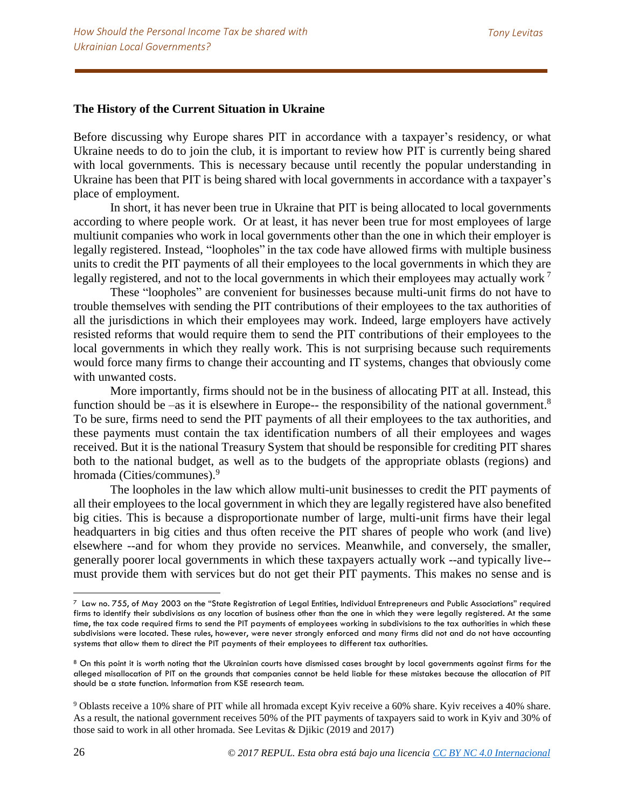### **The History of the Current Situation in Ukraine**

Before discussing why Europe shares PIT in accordance with a taxpayer's residency, or what Ukraine needs to do to join the club, it is important to review how PIT is currently being shared with local governments. This is necessary because until recently the popular understanding in Ukraine has been that PIT is being shared with local governments in accordance with a taxpayer's place of employment.

In short, it has never been true in Ukraine that PIT is being allocated to local governments according to where people work. Or at least, it has never been true for most employees of large multiunit companies who work in local governments other than the one in which their employer is legally registered. Instead, "loopholes" in the tax code have allowed firms with multiple business units to credit the PIT payments of all their employees to the local governments in which they are legally registered, and not to the local governments in which their employees may actually work  $<sup>7</sup>$ </sup>

These "loopholes" are convenient for businesses because multi-unit firms do not have to trouble themselves with sending the PIT contributions of their employees to the tax authorities of all the jurisdictions in which their employees may work. Indeed, large employers have actively resisted reforms that would require them to send the PIT contributions of their employees to the local governments in which they really work. This is not surprising because such requirements would force many firms to change their accounting and IT systems, changes that obviously come with unwanted costs.

More importantly, firms should not be in the business of allocating PIT at all. Instead, this function should be  $-\text{as it}$  is elsewhere in Europe-- the responsibility of the national government.<sup>8</sup> To be sure, firms need to send the PIT payments of all their employees to the tax authorities, and these payments must contain the tax identification numbers of all their employees and wages received. But it is the national Treasury System that should be responsible for crediting PIT shares both to the national budget, as well as to the budgets of the appropriate oblasts (regions) and hromada (Cities/communes). 9

The loopholes in the law which allow multi-unit businesses to credit the PIT payments of all their employees to the local government in which they are legally registered have also benefited big cities. This is because a disproportionate number of large, multi-unit firms have their legal headquarters in big cities and thus often receive the PIT shares of people who work (and live) elsewhere --and for whom they provide no services. Meanwhile, and conversely, the smaller, generally poorer local governments in which these taxpayers actually work --and typically live- must provide them with services but do not get their PIT payments. This makes no sense and is

 $^7$  Law no. 755, of May 2003 on the "State Registration of Legal Entities, Individual Entrepreneurs and Public Associations" required firms to identify their subdivisions as any location of business other than the one in which they were legally registered. At the same time, the tax code required firms to send the PIT payments of employees working in subdivisions to the tax authorities in which these subdivisions were located. These rules, however, were never strongly enforced and many firms did not and do not have accounting systems that allow them to direct the PIT payments of their employees to different tax authorities.

<sup>&</sup>lt;sup>8</sup> On this point it is worth noting that the Ukrainian courts have dismissed cases brought by local governments against firms for the alleged misallocation of PIT on the grounds that companies cannot be held liable for these mistakes because the allocation of PIT should be a state function. Information from KSE research team.

<sup>9</sup> Oblasts receive a 10% share of PIT while all hromada except Kyiv receive a 60% share. Kyiv receives a 40% share. As a result, the national government receives 50% of the PIT payments of taxpayers said to work in Kyiv and 30% of those said to work in all other hromada. See Levitas & Djikic (2019 and 2017)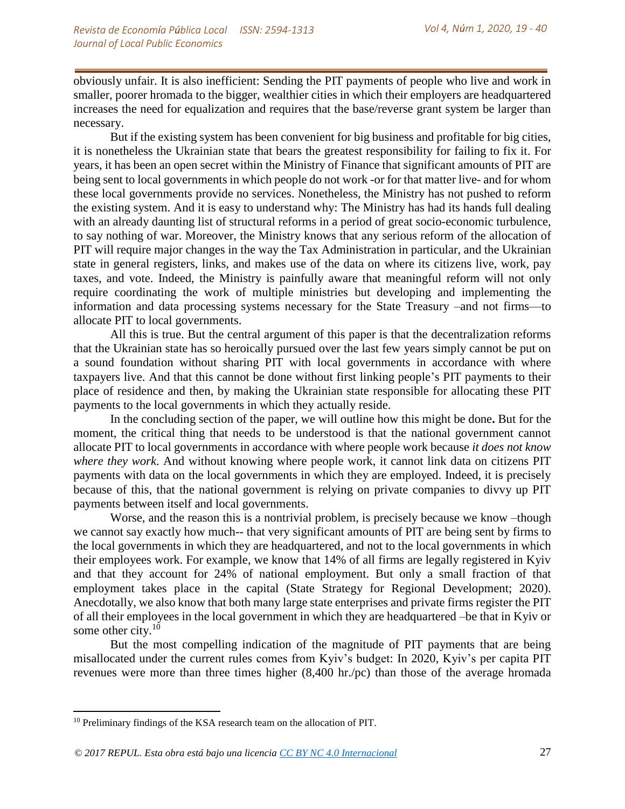obviously unfair. It is also inefficient: Sending the PIT payments of people who live and work in smaller, poorer hromada to the bigger, wealthier cities in which their employers are headquartered increases the need for equalization and requires that the base/reverse grant system be larger than necessary.

But if the existing system has been convenient for big business and profitable for big cities, it is nonetheless the Ukrainian state that bears the greatest responsibility for failing to fix it. For years, it has been an open secret within the Ministry of Finance that significant amounts of PIT are being sent to local governments in which people do not work -or for that matter live- and for whom these local governments provide no services. Nonetheless, the Ministry has not pushed to reform the existing system. And it is easy to understand why: The Ministry has had its hands full dealing with an already daunting list of structural reforms in a period of great socio-economic turbulence, to say nothing of war. Moreover, the Ministry knows that any serious reform of the allocation of PIT will require major changes in the way the Tax Administration in particular, and the Ukrainian state in general registers, links, and makes use of the data on where its citizens live, work, pay taxes, and vote. Indeed, the Ministry is painfully aware that meaningful reform will not only require coordinating the work of multiple ministries but developing and implementing the information and data processing systems necessary for the State Treasury –and not firms—to allocate PIT to local governments.

All this is true. But the central argument of this paper is that the decentralization reforms that the Ukrainian state has so heroically pursued over the last few years simply cannot be put on a sound foundation without sharing PIT with local governments in accordance with where taxpayers live. And that this cannot be done without first linking people's PIT payments to their place of residence and then, by making the Ukrainian state responsible for allocating these PIT payments to the local governments in which they actually reside.

In the concluding section of the paper, we will outline how this might be done**.** But for the moment, the critical thing that needs to be understood is that the national government cannot allocate PIT to local governments in accordance with where people work because *it does not know where they work*. And without knowing where people work, it cannot link data on citizens PIT payments with data on the local governments in which they are employed. Indeed, it is precisely because of this, that the national government is relying on private companies to divvy up PIT payments between itself and local governments.

Worse, and the reason this is a nontrivial problem, is precisely because we know –though we cannot say exactly how much-- that very significant amounts of PIT are being sent by firms to the local governments in which they are headquartered, and not to the local governments in which their employees work. For example, we know that 14% of all firms are legally registered in Kyiv and that they account for 24% of national employment. But only a small fraction of that employment takes place in the capital (State Strategy for Regional Development; 2020). Anecdotally, we also know that both many large state enterprises and private firms register the PIT of all their employees in the local government in which they are headquartered –be that in Kyiv or some other city.<sup>10</sup>

But the most compelling indication of the magnitude of PIT payments that are being misallocated under the current rules comes from Kyiv's budget: In 2020, Kyiv's per capita PIT revenues were more than three times higher (8,400 hr./pc) than those of the average hromada

<sup>&</sup>lt;sup>10</sup> Preliminary findings of the KSA research team on the allocation of PIT.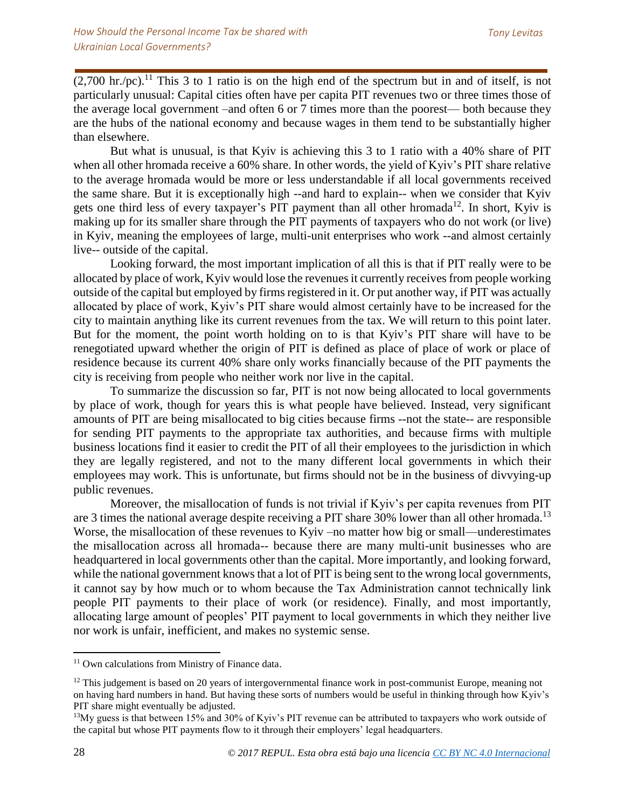$(2,700 \text{ hr./pc})$ .<sup>11</sup> This 3 to 1 ratio is on the high end of the spectrum but in and of itself, is not particularly unusual: Capital cities often have per capita PIT revenues two or three times those of the average local government –and often 6 or 7 times more than the poorest— both because they are the hubs of the national economy and because wages in them tend to be substantially higher than elsewhere.

But what is unusual, is that Kyiv is achieving this 3 to 1 ratio with a 40% share of PIT when all other hromada receive a 60% share. In other words, the yield of Kyiv's PIT share relative to the average hromada would be more or less understandable if all local governments received the same share. But it is exceptionally high --and hard to explain-- when we consider that Kyiv gets one third less of every taxpayer's PIT payment than all other hromada<sup>12</sup>. In short, Kyiv is making up for its smaller share through the PIT payments of taxpayers who do not work (or live) in Kyiv, meaning the employees of large, multi-unit enterprises who work --and almost certainly live-- outside of the capital.

Looking forward, the most important implication of all this is that if PIT really were to be allocated by place of work, Kyiv would lose the revenues it currently receives from people working outside of the capital but employed by firms registered in it. Or put another way, if PIT was actually allocated by place of work, Kyiv's PIT share would almost certainly have to be increased for the city to maintain anything like its current revenues from the tax. We will return to this point later. But for the moment, the point worth holding on to is that Kyiv's PIT share will have to be renegotiated upward whether the origin of PIT is defined as place of place of work or place of residence because its current 40% share only works financially because of the PIT payments the city is receiving from people who neither work nor live in the capital.

To summarize the discussion so far, PIT is not now being allocated to local governments by place of work, though for years this is what people have believed. Instead, very significant amounts of PIT are being misallocated to big cities because firms --not the state-- are responsible for sending PIT payments to the appropriate tax authorities, and because firms with multiple business locations find it easier to credit the PIT of all their employees to the jurisdiction in which they are legally registered, and not to the many different local governments in which their employees may work. This is unfortunate, but firms should not be in the business of divvying-up public revenues.

Moreover, the misallocation of funds is not trivial if Kyiv's per capita revenues from PIT are 3 times the national average despite receiving a PIT share 30% lower than all other hromada.<sup>13</sup> Worse, the misallocation of these revenues to Kyiv –no matter how big or small—underestimates the misallocation across all hromada-- because there are many multi-unit businesses who are headquartered in local governments other than the capital. More importantly, and looking forward, while the national government knows that a lot of PIT is being sent to the wrong local governments, it cannot say by how much or to whom because the Tax Administration cannot technically link people PIT payments to their place of work (or residence). Finally, and most importantly, allocating large amount of peoples' PIT payment to local governments in which they neither live nor work is unfair, inefficient, and makes no systemic sense.

l

<sup>&</sup>lt;sup>11</sup> Own calculations from Ministry of Finance data.

<sup>&</sup>lt;sup>12</sup> This judgement is based on 20 years of intergovernmental finance work in post-communist Europe, meaning not on having hard numbers in hand. But having these sorts of numbers would be useful in thinking through how Kyiv's PIT share might eventually be adjusted.

<sup>&</sup>lt;sup>13</sup>My guess is that between 15% and 30% of Kyiv's PIT revenue can be attributed to taxpayers who work outside of the capital but whose PIT payments flow to it through their employers' legal headquarters.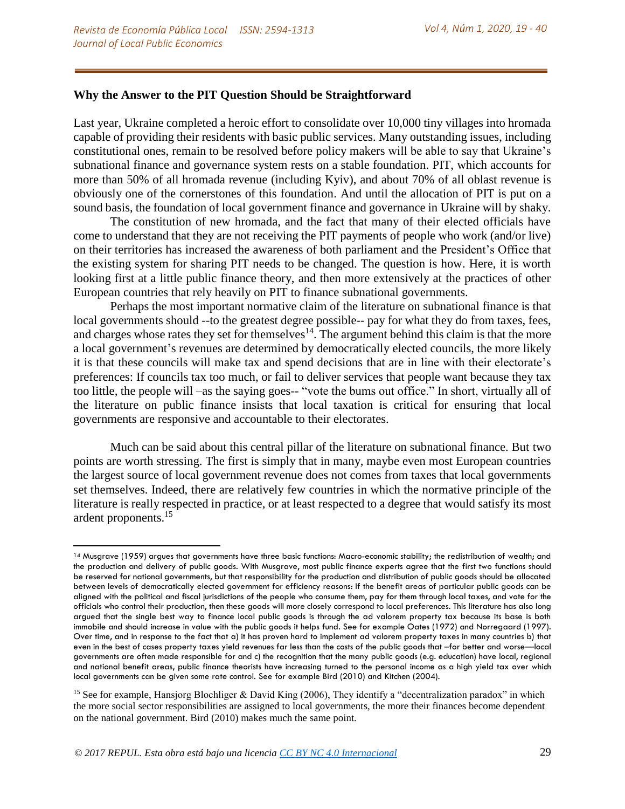## **Why the Answer to the PIT Question Should be Straightforward**

Last year, Ukraine completed a heroic effort to consolidate over 10,000 tiny villages into hromada capable of providing their residents with basic public services. Many outstanding issues, including constitutional ones, remain to be resolved before policy makers will be able to say that Ukraine's subnational finance and governance system rests on a stable foundation. PIT, which accounts for more than 50% of all hromada revenue (including Kyiv), and about 70% of all oblast revenue is obviously one of the cornerstones of this foundation. And until the allocation of PIT is put on a sound basis, the foundation of local government finance and governance in Ukraine will by shaky.

The constitution of new hromada, and the fact that many of their elected officials have come to understand that they are not receiving the PIT payments of people who work (and/or live) on their territories has increased the awareness of both parliament and the President's Office that the existing system for sharing PIT needs to be changed. The question is how. Here, it is worth looking first at a little public finance theory, and then more extensively at the practices of other European countries that rely heavily on PIT to finance subnational governments.

Perhaps the most important normative claim of the literature on subnational finance is that local governments should --to the greatest degree possible-- pay for what they do from taxes, fees, and charges whose rates they set for themselves $14$ . The argument behind this claim is that the more a local government's revenues are determined by democratically elected councils, the more likely it is that these councils will make tax and spend decisions that are in line with their electorate's preferences: If councils tax too much, or fail to deliver services that people want because they tax too little, the people will –as the saying goes-- "vote the bums out office." In short, virtually all of the literature on public finance insists that local taxation is critical for ensuring that local governments are responsive and accountable to their electorates.

Much can be said about this central pillar of the literature on subnational finance. But two points are worth stressing. The first is simply that in many, maybe even most European countries the largest source of local government revenue does not comes from taxes that local governments set themselves. Indeed, there are relatively few countries in which the normative principle of the literature is really respected in practice, or at least respected to a degree that would satisfy its most ardent proponents.<sup>15</sup>

<sup>14</sup> Musgrave (1959) argues that governments have three basic functions: Macro-economic stability; the redistribution of wealth; and the production and delivery of public goods. With Musgrave, most public finance experts agree that the first two functions should be reserved for national governments, but that responsibility for the production and distribution of public goods should be allocated between levels of democratically elected government for efficiency reasons: If the benefit areas of particular public goods can be aligned with the political and fiscal jurisdictions of the people who consume them, pay for them through local taxes, and vote for the officials who control their production, then these goods will more closely correspond to local preferences. This literature has also long argued that the single best way to finance local public goods is through the ad valorem property tax because its base is both immobile and should increase in value with the public goods it helps fund. See for example Oates (1972) and Norregaard (1997). Over time, and in response to the fact that a) it has proven hard to implement ad valorem property taxes in many countries b) that even in the best of cases property taxes yield revenues far less than the costs of the public goods that –for better and worse—local governments are often made responsible for and c) the recognition that the many public goods (e.g. education) have local, regional and national benefit areas, public finance theorists have increasing turned to the personal income as a high yield tax over which local governments can be given some rate control. See for example Bird (2010) and Kitchen (2004).

<sup>&</sup>lt;sup>15</sup> See for example, Hansjorg Blochliger & David King (2006), They identify a "decentralization paradox" in which the more social sector responsibilities are assigned to local governments, the more their finances become dependent on the national government. Bird (2010) makes much the same point.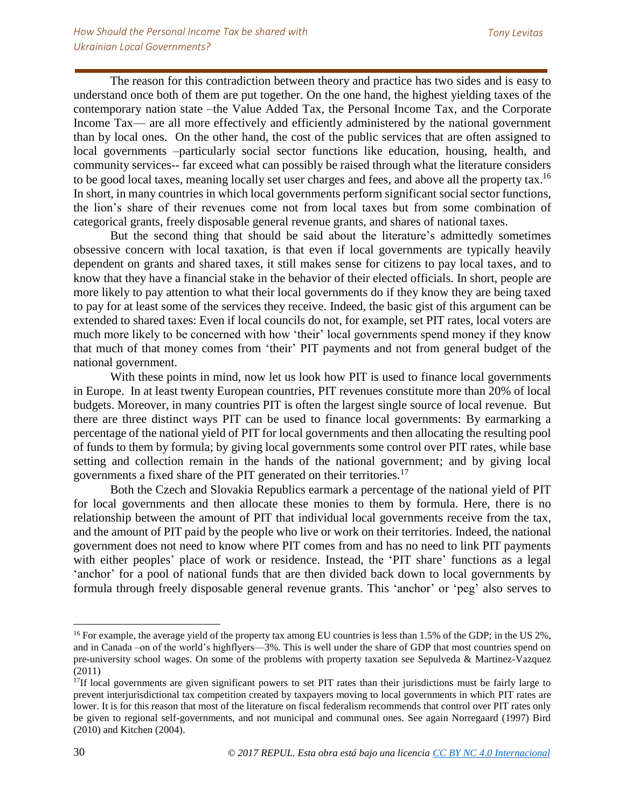The reason for this contradiction between theory and practice has two sides and is easy to understand once both of them are put together. On the one hand, the highest yielding taxes of the contemporary nation state –the Value Added Tax, the Personal Income Tax, and the Corporate Income Tax— are all more effectively and efficiently administered by the national government than by local ones. On the other hand, the cost of the public services that are often assigned to local governments –particularly social sector functions like education, housing, health, and community services-- far exceed what can possibly be raised through what the literature considers to be good local taxes, meaning locally set user charges and fees, and above all the property tax.<sup>16</sup> In short, in many countries in which local governments perform significant social sector functions, the lion's share of their revenues come not from local taxes but from some combination of categorical grants, freely disposable general revenue grants, and shares of national taxes.

But the second thing that should be said about the literature's admittedly sometimes obsessive concern with local taxation, is that even if local governments are typically heavily dependent on grants and shared taxes, it still makes sense for citizens to pay local taxes, and to know that they have a financial stake in the behavior of their elected officials. In short, people are more likely to pay attention to what their local governments do if they know they are being taxed to pay for at least some of the services they receive. Indeed, the basic gist of this argument can be extended to shared taxes: Even if local councils do not, for example, set PIT rates, local voters are much more likely to be concerned with how 'their' local governments spend money if they know that much of that money comes from 'their' PIT payments and not from general budget of the national government.

With these points in mind, now let us look how PIT is used to finance local governments in Europe. In at least twenty European countries, PIT revenues constitute more than 20% of local budgets. Moreover, in many countries PIT is often the largest single source of local revenue. But there are three distinct ways PIT can be used to finance local governments: By earmarking a percentage of the national yield of PIT for local governments and then allocating the resulting pool of funds to them by formula; by giving local governments some control over PIT rates, while base setting and collection remain in the hands of the national government; and by giving local governments a fixed share of the PIT generated on their territories.<sup>17</sup>

Both the Czech and Slovakia Republics earmark a percentage of the national yield of PIT for local governments and then allocate these monies to them by formula. Here, there is no relationship between the amount of PIT that individual local governments receive from the tax, and the amount of PIT paid by the people who live or work on their territories. Indeed, the national government does not need to know where PIT comes from and has no need to link PIT payments with either peoples' place of work or residence. Instead, the 'PIT share' functions as a legal 'anchor' for a pool of national funds that are then divided back down to local governments by formula through freely disposable general revenue grants. This 'anchor' or 'peg' also serves to

<sup>&</sup>lt;sup>16</sup> For example, the average yield of the property tax among EU countries is less than 1.5% of the GDP; in the US 2%, and in Canada –on of the world's highflyers—3%. This is well under the share of GDP that most countries spend on pre-university school wages. On some of the problems with property taxation see Sepulveda & Martinez-Vazquez (2011)

 $17$ If local governments are given significant powers to set PIT rates than their jurisdictions must be fairly large to prevent interjurisdictional tax competition created by taxpayers moving to local governments in which PIT rates are lower. It is for this reason that most of the literature on fiscal federalism recommends that control over PIT rates only be given to regional self-governments, and not municipal and communal ones. See again Norregaard (1997) Bird (2010) and Kitchen (2004).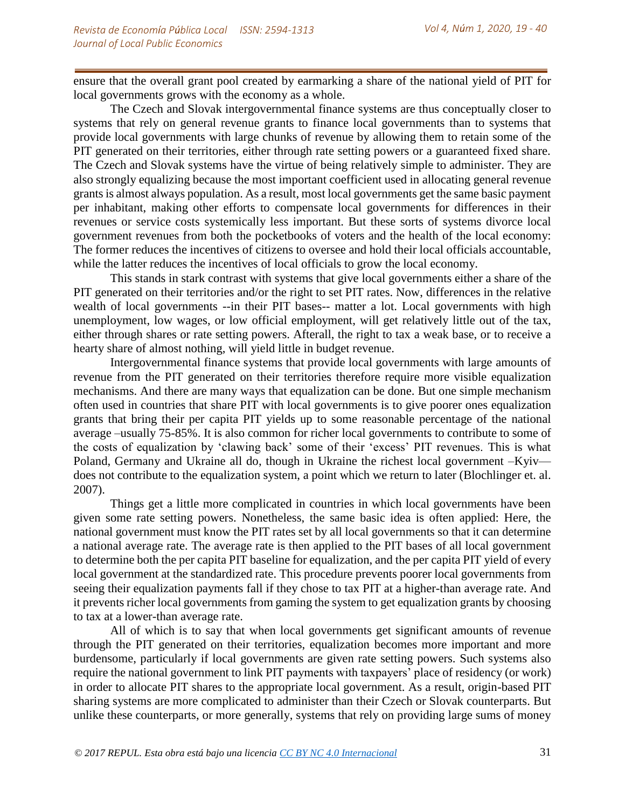ensure that the overall grant pool created by earmarking a share of the national yield of PIT for local governments grows with the economy as a whole.

The Czech and Slovak intergovernmental finance systems are thus conceptually closer to systems that rely on general revenue grants to finance local governments than to systems that provide local governments with large chunks of revenue by allowing them to retain some of the PIT generated on their territories, either through rate setting powers or a guaranteed fixed share. The Czech and Slovak systems have the virtue of being relatively simple to administer. They are also strongly equalizing because the most important coefficient used in allocating general revenue grants is almost always population. As a result, most local governments get the same basic payment per inhabitant, making other efforts to compensate local governments for differences in their revenues or service costs systemically less important. But these sorts of systems divorce local government revenues from both the pocketbooks of voters and the health of the local economy: The former reduces the incentives of citizens to oversee and hold their local officials accountable, while the latter reduces the incentives of local officials to grow the local economy.

This stands in stark contrast with systems that give local governments either a share of the PIT generated on their territories and/or the right to set PIT rates. Now, differences in the relative wealth of local governments --in their PIT bases-- matter a lot. Local governments with high unemployment, low wages, or low official employment, will get relatively little out of the tax, either through shares or rate setting powers. Afterall, the right to tax a weak base, or to receive a hearty share of almost nothing, will yield little in budget revenue.

Intergovernmental finance systems that provide local governments with large amounts of revenue from the PIT generated on their territories therefore require more visible equalization mechanisms. And there are many ways that equalization can be done. But one simple mechanism often used in countries that share PIT with local governments is to give poorer ones equalization grants that bring their per capita PIT yields up to some reasonable percentage of the national average –usually 75-85%. It is also common for richer local governments to contribute to some of the costs of equalization by 'clawing back' some of their 'excess' PIT revenues. This is what Poland, Germany and Ukraine all do, though in Ukraine the richest local government –Kyiv does not contribute to the equalization system, a point which we return to later (Blochlinger et. al. 2007).

Things get a little more complicated in countries in which local governments have been given some rate setting powers. Nonetheless, the same basic idea is often applied: Here, the national government must know the PIT rates set by all local governments so that it can determine a national average rate. The average rate is then applied to the PIT bases of all local government to determine both the per capita PIT baseline for equalization, and the per capita PIT yield of every local government at the standardized rate. This procedure prevents poorer local governments from seeing their equalization payments fall if they chose to tax PIT at a higher-than average rate. And it prevents richer local governments from gaming the system to get equalization grants by choosing to tax at a lower-than average rate.

All of which is to say that when local governments get significant amounts of revenue through the PIT generated on their territories, equalization becomes more important and more burdensome, particularly if local governments are given rate setting powers. Such systems also require the national government to link PIT payments with taxpayers' place of residency (or work) in order to allocate PIT shares to the appropriate local government. As a result, origin-based PIT sharing systems are more complicated to administer than their Czech or Slovak counterparts. But unlike these counterparts, or more generally, systems that rely on providing large sums of money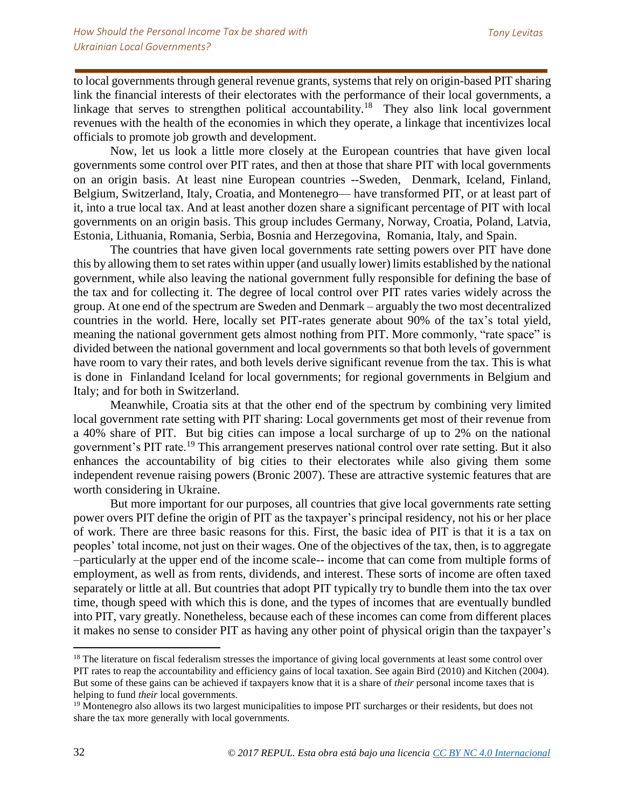to local governments through general revenue grants, systems that rely on origin-based PIT sharing link the financial interests of their electorates with the performance of their local governments, a linkage that serves to strengthen political accountability.<sup>18</sup> They also link local government revenues with the health of the economies in which they operate, a linkage that incentivizes local officials to promote job growth and development.

Now, let us look a little more closely at the European countries that have given local governments some control over PIT rates, and then at those that share PIT with local governments on an origin basis. At least nine European countries --Sweden, Denmark, Iceland, Finland, Belgium, Switzerland, Italy, Croatia, and Montenegro— have transformed PIT, or at least part of it, into a true local tax. And at least another dozen share a significant percentage of PIT with local governments on an origin basis. This group includes Germany, Norway, Croatia, Poland, Latvia, Estonia, Lithuania, Romania, Serbia, Bosnia and Herzegovina, Romania, Italy, and Spain.

The countries that have given local governments rate setting powers over PIT have done this by allowing them to set rates within upper (and usually lower) limits established by the national government, while also leaving the national government fully responsible for defining the base of the tax and for collecting it. The degree of local control over PIT rates varies widely across the group. At one end of the spectrum are Sweden and Denmark – arguably the two most decentralized countries in the world. Here, locally set PIT-rates generate about 90% of the tax's total yield, meaning the national government gets almost nothing from PIT. More commonly, "rate space" is divided between the national government and local governments so that both levels of government have room to vary their rates, and both levels derive significant revenue from the tax. This is what is done in Finlandand Iceland for local governments; for regional governments in Belgium and Italy; and for both in Switzerland.

Meanwhile, Croatia sits at that the other end of the spectrum by combining very limited local government rate setting with PIT sharing: Local governments get most of their revenue from a 40% share of PIT. But big cities can impose a local surcharge of up to 2% on the national government's PIT rate.<sup>19</sup> This arrangement preserves national control over rate setting. But it also enhances the accountability of big cities to their electorates while also giving them some independent revenue raising powers (Bronic 2007). These are attractive systemic features that are worth considering in Ukraine.

But more important for our purposes, all countries that give local governments rate setting power overs PIT define the origin of PIT as the taxpayer's principal residency, not his or her place of work. There are three basic reasons for this. First, the basic idea of PIT is that it is a tax on peoples' total income, not just on their wages. One of the objectives of the tax, then, is to aggregate –particularly at the upper end of the income scale-- income that can come from multiple forms of employment, as well as from rents, dividends, and interest. These sorts of income are often taxed separately or little at all. But countries that adopt PIT typically try to bundle them into the tax over time, though speed with which this is done, and the types of incomes that are eventually bundled into PIT, vary greatly. Nonetheless, because each of these incomes can come from different places it makes no sense to consider PIT as having any other point of physical origin than the taxpayer's

<sup>&</sup>lt;sup>18</sup> The literature on fiscal federalism stresses the importance of giving local governments at least some control over PIT rates to reap the accountability and efficiency gains of local taxation. See again Bird (2010) and Kitchen (2004). But some of these gains can be achieved if taxpayers know that it is a share of *their* personal income taxes that is helping to fund *their* local governments.

<sup>&</sup>lt;sup>19</sup> Montenegro also allows its two largest municipalities to impose PIT surcharges or their residents, but does not share the tax more generally with local governments.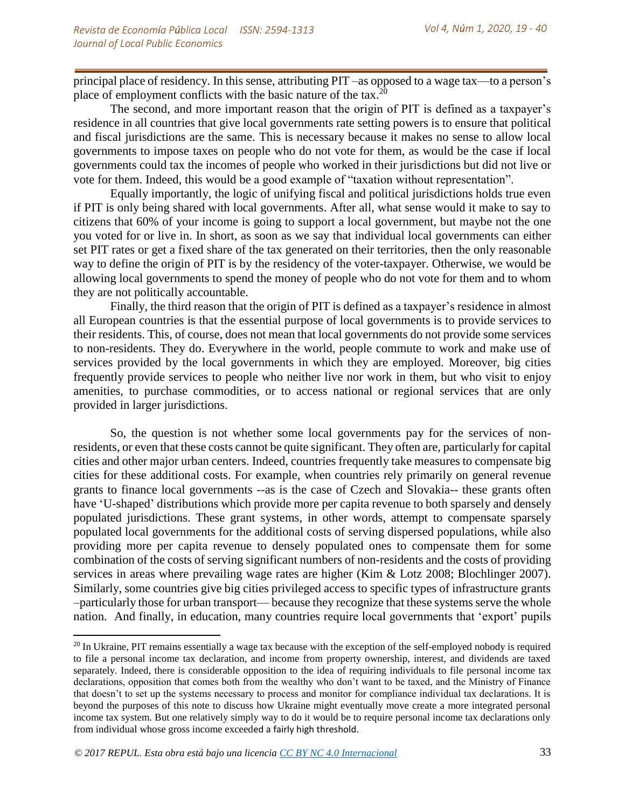principal place of residency. In this sense, attributing PIT –as opposed to a wage tax—to a person's place of employment conflicts with the basic nature of the tax.<sup>20</sup>

The second, and more important reason that the origin of PIT is defined as a taxpayer's residence in all countries that give local governments rate setting powers is to ensure that political and fiscal jurisdictions are the same. This is necessary because it makes no sense to allow local governments to impose taxes on people who do not vote for them, as would be the case if local governments could tax the incomes of people who worked in their jurisdictions but did not live or vote for them. Indeed, this would be a good example of "taxation without representation".

Equally importantly, the logic of unifying fiscal and political jurisdictions holds true even if PIT is only being shared with local governments. After all, what sense would it make to say to citizens that 60% of your income is going to support a local government, but maybe not the one you voted for or live in. In short, as soon as we say that individual local governments can either set PIT rates or get a fixed share of the tax generated on their territories, then the only reasonable way to define the origin of PIT is by the residency of the voter-taxpayer. Otherwise, we would be allowing local governments to spend the money of people who do not vote for them and to whom they are not politically accountable.

Finally, the third reason that the origin of PIT is defined as a taxpayer's residence in almost all European countries is that the essential purpose of local governments is to provide services to their residents. This, of course, does not mean that local governments do not provide some services to non-residents. They do. Everywhere in the world, people commute to work and make use of services provided by the local governments in which they are employed. Moreover, big cities frequently provide services to people who neither live nor work in them, but who visit to enjoy amenities, to purchase commodities, or to access national or regional services that are only provided in larger jurisdictions.

So, the question is not whether some local governments pay for the services of nonresidents, or even that these costs cannot be quite significant. They often are, particularly for capital cities and other major urban centers. Indeed, countries frequently take measures to compensate big cities for these additional costs. For example, when countries rely primarily on general revenue grants to finance local governments --as is the case of Czech and Slovakia-- these grants often have 'U-shaped' distributions which provide more per capita revenue to both sparsely and densely populated jurisdictions. These grant systems, in other words, attempt to compensate sparsely populated local governments for the additional costs of serving dispersed populations, while also providing more per capita revenue to densely populated ones to compensate them for some combination of the costs of serving significant numbers of non-residents and the costs of providing services in areas where prevailing wage rates are higher (Kim & Lotz 2008; Blochlinger 2007). Similarly, some countries give big cities privileged access to specific types of infrastructure grants –particularly those for urban transport— because they recognize that these systems serve the whole nation. And finally, in education, many countries require local governments that 'export' pupils

l

<sup>&</sup>lt;sup>20</sup> In Ukraine, PIT remains essentially a wage tax because with the exception of the self-employed nobody is required to file a personal income tax declaration, and income from property ownership, interest, and dividends are taxed separately. Indeed, there is considerable opposition to the idea of requiring individuals to file personal income tax declarations, opposition that comes both from the wealthy who don't want to be taxed, and the Ministry of Finance that doesn't to set up the systems necessary to process and monitor for compliance individual tax declarations. It is beyond the purposes of this note to discuss how Ukraine might eventually move create a more integrated personal income tax system. But one relatively simply way to do it would be to require personal income tax declarations only from individual whose gross income exceeded a fairly high threshold.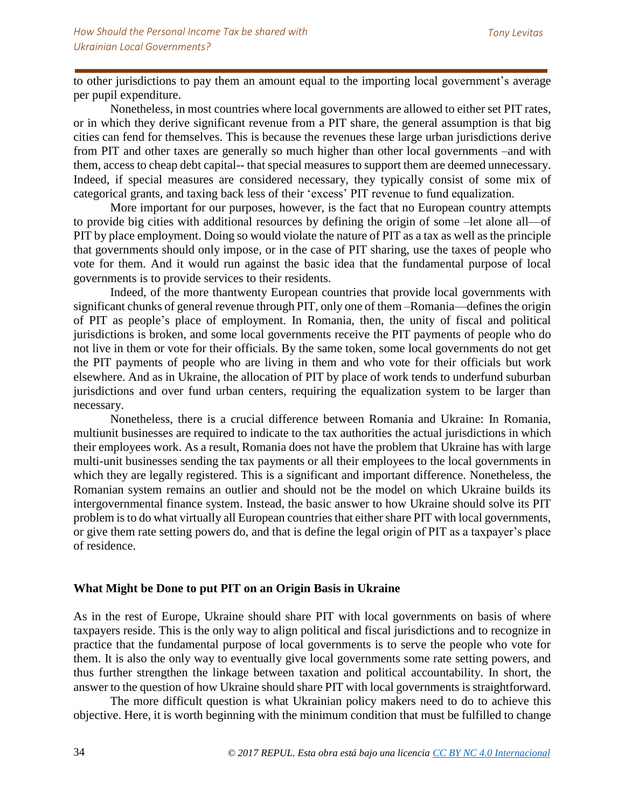to other jurisdictions to pay them an amount equal to the importing local government's average per pupil expenditure.

Nonetheless, in most countries where local governments are allowed to either set PIT rates, or in which they derive significant revenue from a PIT share, the general assumption is that big cities can fend for themselves. This is because the revenues these large urban jurisdictions derive from PIT and other taxes are generally so much higher than other local governments –and with them, access to cheap debt capital-- that special measures to support them are deemed unnecessary. Indeed, if special measures are considered necessary, they typically consist of some mix of categorical grants, and taxing back less of their 'excess' PIT revenue to fund equalization.

More important for our purposes, however, is the fact that no European country attempts to provide big cities with additional resources by defining the origin of some –let alone all—of PIT by place employment. Doing so would violate the nature of PIT as a tax as well as the principle that governments should only impose, or in the case of PIT sharing, use the taxes of people who vote for them. And it would run against the basic idea that the fundamental purpose of local governments is to provide services to their residents.

Indeed, of the more thantwenty European countries that provide local governments with significant chunks of general revenue through PIT, only one of them –Romania—defines the origin of PIT as people's place of employment. In Romania, then, the unity of fiscal and political jurisdictions is broken, and some local governments receive the PIT payments of people who do not live in them or vote for their officials. By the same token, some local governments do not get the PIT payments of people who are living in them and who vote for their officials but work elsewhere. And as in Ukraine, the allocation of PIT by place of work tends to underfund suburban jurisdictions and over fund urban centers, requiring the equalization system to be larger than necessary.

Nonetheless, there is a crucial difference between Romania and Ukraine: In Romania, multiunit businesses are required to indicate to the tax authorities the actual jurisdictions in which their employees work. As a result, Romania does not have the problem that Ukraine has with large multi-unit businesses sending the tax payments or all their employees to the local governments in which they are legally registered. This is a significant and important difference. Nonetheless, the Romanian system remains an outlier and should not be the model on which Ukraine builds its intergovernmental finance system. Instead, the basic answer to how Ukraine should solve its PIT problem is to do what virtually all European countries that either share PIT with local governments, or give them rate setting powers do, and that is define the legal origin of PIT as a taxpayer's place of residence.

# **What Might be Done to put PIT on an Origin Basis in Ukraine**

As in the rest of Europe, Ukraine should share PIT with local governments on basis of where taxpayers reside. This is the only way to align political and fiscal jurisdictions and to recognize in practice that the fundamental purpose of local governments is to serve the people who vote for them. It is also the only way to eventually give local governments some rate setting powers, and thus further strengthen the linkage between taxation and political accountability. In short, the answer to the question of how Ukraine should share PIT with local governments is straightforward.

The more difficult question is what Ukrainian policy makers need to do to achieve this objective. Here, it is worth beginning with the minimum condition that must be fulfilled to change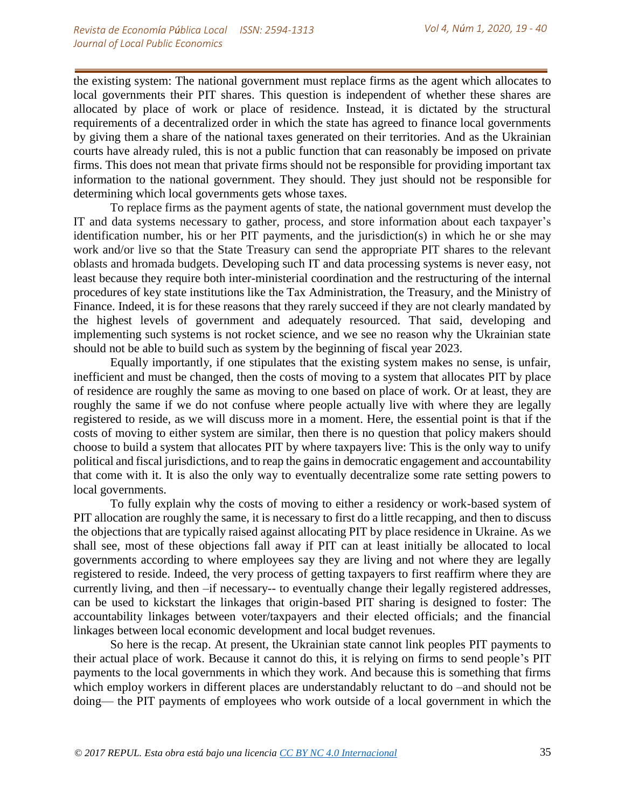the existing system: The national government must replace firms as the agent which allocates to local governments their PIT shares. This question is independent of whether these shares are allocated by place of work or place of residence. Instead, it is dictated by the structural requirements of a decentralized order in which the state has agreed to finance local governments by giving them a share of the national taxes generated on their territories. And as the Ukrainian courts have already ruled, this is not a public function that can reasonably be imposed on private firms. This does not mean that private firms should not be responsible for providing important tax information to the national government. They should. They just should not be responsible for determining which local governments gets whose taxes.

To replace firms as the payment agents of state, the national government must develop the IT and data systems necessary to gather, process, and store information about each taxpayer's identification number, his or her PIT payments, and the jurisdiction(s) in which he or she may work and/or live so that the State Treasury can send the appropriate PIT shares to the relevant oblasts and hromada budgets. Developing such IT and data processing systems is never easy, not least because they require both inter-ministerial coordination and the restructuring of the internal procedures of key state institutions like the Tax Administration, the Treasury, and the Ministry of Finance. Indeed, it is for these reasons that they rarely succeed if they are not clearly mandated by the highest levels of government and adequately resourced. That said, developing and implementing such systems is not rocket science, and we see no reason why the Ukrainian state should not be able to build such as system by the beginning of fiscal year 2023.

Equally importantly, if one stipulates that the existing system makes no sense, is unfair, inefficient and must be changed, then the costs of moving to a system that allocates PIT by place of residence are roughly the same as moving to one based on place of work. Or at least, they are roughly the same if we do not confuse where people actually live with where they are legally registered to reside, as we will discuss more in a moment. Here, the essential point is that if the costs of moving to either system are similar, then there is no question that policy makers should choose to build a system that allocates PIT by where taxpayers live: This is the only way to unify political and fiscal jurisdictions, and to reap the gains in democratic engagement and accountability that come with it. It is also the only way to eventually decentralize some rate setting powers to local governments.

To fully explain why the costs of moving to either a residency or work-based system of PIT allocation are roughly the same, it is necessary to first do a little recapping, and then to discuss the objections that are typically raised against allocating PIT by place residence in Ukraine. As we shall see, most of these objections fall away if PIT can at least initially be allocated to local governments according to where employees say they are living and not where they are legally registered to reside. Indeed, the very process of getting taxpayers to first reaffirm where they are currently living, and then –if necessary-- to eventually change their legally registered addresses, can be used to kickstart the linkages that origin-based PIT sharing is designed to foster: The accountability linkages between voter/taxpayers and their elected officials; and the financial linkages between local economic development and local budget revenues.

So here is the recap. At present, the Ukrainian state cannot link peoples PIT payments to their actual place of work. Because it cannot do this, it is relying on firms to send people's PIT payments to the local governments in which they work. And because this is something that firms which employ workers in different places are understandably reluctant to do –and should not be doing— the PIT payments of employees who work outside of a local government in which the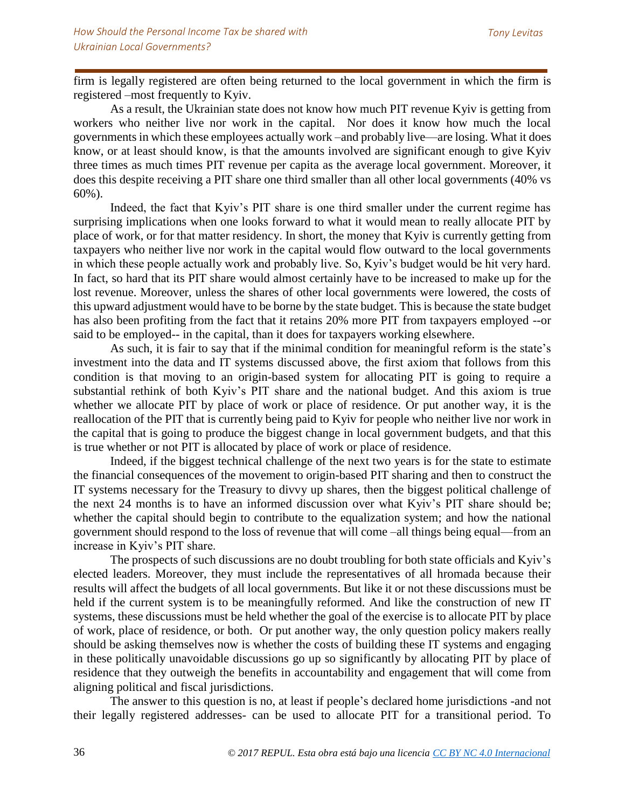firm is legally registered are often being returned to the local government in which the firm is registered –most frequently to Kyiv.

As a result, the Ukrainian state does not know how much PIT revenue Kyiv is getting from workers who neither live nor work in the capital. Nor does it know how much the local governments in which these employees actually work –and probably live—are losing. What it does know, or at least should know, is that the amounts involved are significant enough to give Kyiv three times as much times PIT revenue per capita as the average local government. Moreover, it does this despite receiving a PIT share one third smaller than all other local governments (40% vs 60%).

Indeed, the fact that Kyiv's PIT share is one third smaller under the current regime has surprising implications when one looks forward to what it would mean to really allocate PIT by place of work, or for that matter residency. In short, the money that Kyiv is currently getting from taxpayers who neither live nor work in the capital would flow outward to the local governments in which these people actually work and probably live. So, Kyiv's budget would be hit very hard. In fact, so hard that its PIT share would almost certainly have to be increased to make up for the lost revenue. Moreover, unless the shares of other local governments were lowered, the costs of this upward adjustment would have to be borne by the state budget. This is because the state budget has also been profiting from the fact that it retains 20% more PIT from taxpayers employed --or said to be employed-- in the capital, than it does for taxpayers working elsewhere.

As such, it is fair to say that if the minimal condition for meaningful reform is the state's investment into the data and IT systems discussed above, the first axiom that follows from this condition is that moving to an origin-based system for allocating PIT is going to require a substantial rethink of both Kyiv's PIT share and the national budget. And this axiom is true whether we allocate PIT by place of work or place of residence. Or put another way, it is the reallocation of the PIT that is currently being paid to Kyiv for people who neither live nor work in the capital that is going to produce the biggest change in local government budgets, and that this is true whether or not PIT is allocated by place of work or place of residence.

Indeed, if the biggest technical challenge of the next two years is for the state to estimate the financial consequences of the movement to origin-based PIT sharing and then to construct the IT systems necessary for the Treasury to divvy up shares, then the biggest political challenge of the next 24 months is to have an informed discussion over what Kyiv's PIT share should be; whether the capital should begin to contribute to the equalization system; and how the national government should respond to the loss of revenue that will come –all things being equal—from an increase in Kyiv's PIT share.

The prospects of such discussions are no doubt troubling for both state officials and Kyiv's elected leaders. Moreover, they must include the representatives of all hromada because their results will affect the budgets of all local governments. But like it or not these discussions must be held if the current system is to be meaningfully reformed. And like the construction of new IT systems, these discussions must be held whether the goal of the exercise is to allocate PIT by place of work, place of residence, or both. Or put another way, the only question policy makers really should be asking themselves now is whether the costs of building these IT systems and engaging in these politically unavoidable discussions go up so significantly by allocating PIT by place of residence that they outweigh the benefits in accountability and engagement that will come from aligning political and fiscal jurisdictions.

The answer to this question is no, at least if people's declared home jurisdictions -and not their legally registered addresses- can be used to allocate PIT for a transitional period. To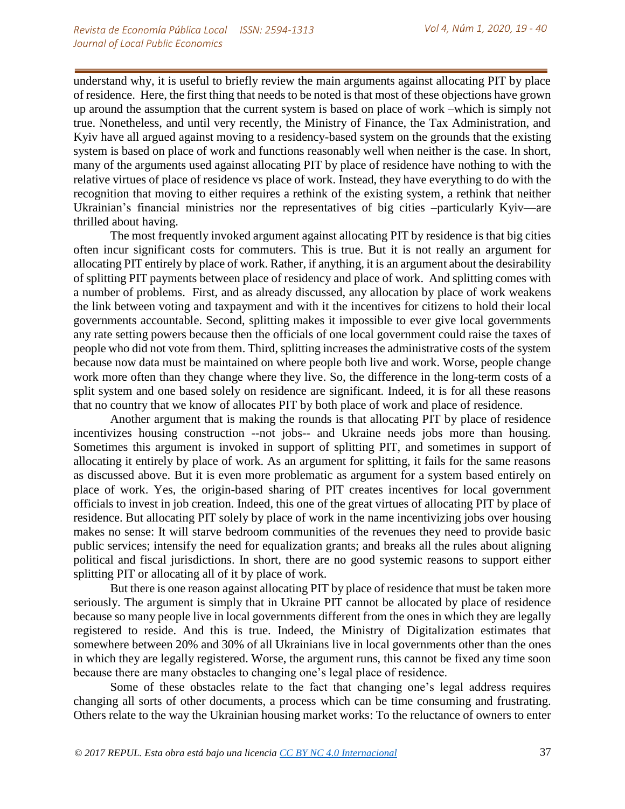understand why, it is useful to briefly review the main arguments against allocating PIT by place of residence. Here, the first thing that needs to be noted is that most of these objections have grown up around the assumption that the current system is based on place of work –which is simply not true. Nonetheless, and until very recently, the Ministry of Finance, the Tax Administration, and Kyiv have all argued against moving to a residency-based system on the grounds that the existing system is based on place of work and functions reasonably well when neither is the case. In short, many of the arguments used against allocating PIT by place of residence have nothing to with the relative virtues of place of residence vs place of work. Instead, they have everything to do with the recognition that moving to either requires a rethink of the existing system, a rethink that neither Ukrainian's financial ministries nor the representatives of big cities –particularly Kyiv—are thrilled about having.

The most frequently invoked argument against allocating PIT by residence is that big cities often incur significant costs for commuters. This is true. But it is not really an argument for allocating PIT entirely by place of work. Rather, if anything, it is an argument about the desirability of splitting PIT payments between place of residency and place of work. And splitting comes with a number of problems. First, and as already discussed, any allocation by place of work weakens the link between voting and taxpayment and with it the incentives for citizens to hold their local governments accountable. Second, splitting makes it impossible to ever give local governments any rate setting powers because then the officials of one local government could raise the taxes of people who did not vote from them. Third, splitting increases the administrative costs of the system because now data must be maintained on where people both live and work. Worse, people change work more often than they change where they live. So, the difference in the long-term costs of a split system and one based solely on residence are significant. Indeed, it is for all these reasons that no country that we know of allocates PIT by both place of work and place of residence.

Another argument that is making the rounds is that allocating PIT by place of residence incentivizes housing construction --not jobs-- and Ukraine needs jobs more than housing. Sometimes this argument is invoked in support of splitting PIT, and sometimes in support of allocating it entirely by place of work. As an argument for splitting, it fails for the same reasons as discussed above. But it is even more problematic as argument for a system based entirely on place of work. Yes, the origin-based sharing of PIT creates incentives for local government officials to invest in job creation. Indeed, this one of the great virtues of allocating PIT by place of residence. But allocating PIT solely by place of work in the name incentivizing jobs over housing makes no sense: It will starve bedroom communities of the revenues they need to provide basic public services; intensify the need for equalization grants; and breaks all the rules about aligning political and fiscal jurisdictions. In short, there are no good systemic reasons to support either splitting PIT or allocating all of it by place of work.

But there is one reason against allocating PIT by place of residence that must be taken more seriously. The argument is simply that in Ukraine PIT cannot be allocated by place of residence because so many people live in local governments different from the ones in which they are legally registered to reside. And this is true. Indeed, the Ministry of Digitalization estimates that somewhere between 20% and 30% of all Ukrainians live in local governments other than the ones in which they are legally registered. Worse, the argument runs, this cannot be fixed any time soon because there are many obstacles to changing one's legal place of residence.

Some of these obstacles relate to the fact that changing one's legal address requires changing all sorts of other documents, a process which can be time consuming and frustrating. Others relate to the way the Ukrainian housing market works: To the reluctance of owners to enter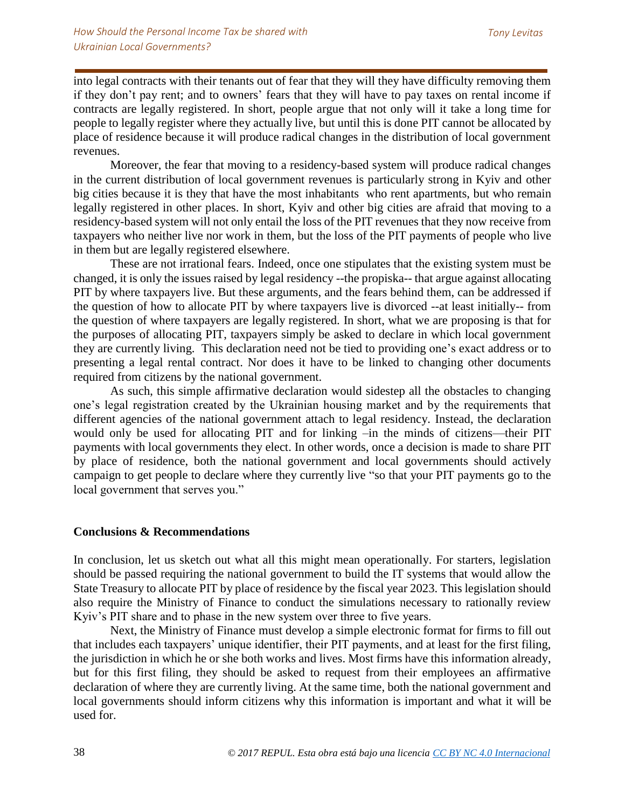into legal contracts with their tenants out of fear that they will they have difficulty removing them if they don't pay rent; and to owners' fears that they will have to pay taxes on rental income if contracts are legally registered. In short, people argue that not only will it take a long time for people to legally register where they actually live, but until this is done PIT cannot be allocated by place of residence because it will produce radical changes in the distribution of local government revenues.

Moreover, the fear that moving to a residency-based system will produce radical changes in the current distribution of local government revenues is particularly strong in Kyiv and other big cities because it is they that have the most inhabitants who rent apartments, but who remain legally registered in other places. In short, Kyiv and other big cities are afraid that moving to a residency-based system will not only entail the loss of the PIT revenues that they now receive from taxpayers who neither live nor work in them, but the loss of the PIT payments of people who live in them but are legally registered elsewhere.

These are not irrational fears. Indeed, once one stipulates that the existing system must be changed, it is only the issues raised by legal residency --the propiska-- that argue against allocating PIT by where taxpayers live. But these arguments, and the fears behind them, can be addressed if the question of how to allocate PIT by where taxpayers live is divorced --at least initially-- from the question of where taxpayers are legally registered. In short, what we are proposing is that for the purposes of allocating PIT, taxpayers simply be asked to declare in which local government they are currently living. This declaration need not be tied to providing one's exact address or to presenting a legal rental contract. Nor does it have to be linked to changing other documents required from citizens by the national government.

As such, this simple affirmative declaration would sidestep all the obstacles to changing one's legal registration created by the Ukrainian housing market and by the requirements that different agencies of the national government attach to legal residency. Instead, the declaration would only be used for allocating PIT and for linking –in the minds of citizens—their PIT payments with local governments they elect. In other words, once a decision is made to share PIT by place of residence, both the national government and local governments should actively campaign to get people to declare where they currently live "so that your PIT payments go to the local government that serves you."

# **Conclusions & Recommendations**

In conclusion, let us sketch out what all this might mean operationally. For starters, legislation should be passed requiring the national government to build the IT systems that would allow the State Treasury to allocate PIT by place of residence by the fiscal year 2023. This legislation should also require the Ministry of Finance to conduct the simulations necessary to rationally review Kyiv's PIT share and to phase in the new system over three to five years.

Next, the Ministry of Finance must develop a simple electronic format for firms to fill out that includes each taxpayers' unique identifier, their PIT payments, and at least for the first filing, the jurisdiction in which he or she both works and lives. Most firms have this information already, but for this first filing, they should be asked to request from their employees an affirmative declaration of where they are currently living. At the same time, both the national government and local governments should inform citizens why this information is important and what it will be used for.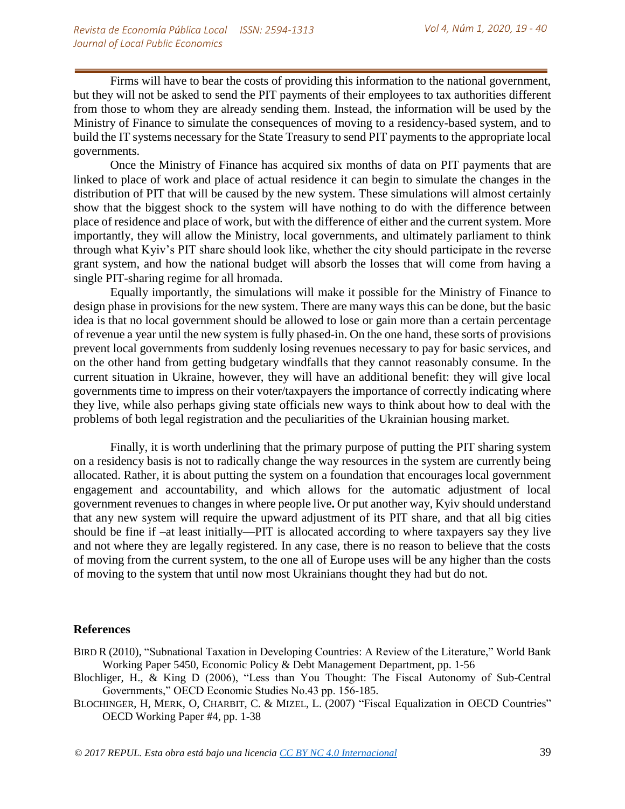Firms will have to bear the costs of providing this information to the national government, but they will not be asked to send the PIT payments of their employees to tax authorities different from those to whom they are already sending them. Instead, the information will be used by the Ministry of Finance to simulate the consequences of moving to a residency-based system, and to build the IT systems necessary for the State Treasury to send PIT payments to the appropriate local governments.

Once the Ministry of Finance has acquired six months of data on PIT payments that are linked to place of work and place of actual residence it can begin to simulate the changes in the distribution of PIT that will be caused by the new system. These simulations will almost certainly show that the biggest shock to the system will have nothing to do with the difference between place of residence and place of work, but with the difference of either and the current system. More importantly, they will allow the Ministry, local governments, and ultimately parliament to think through what Kyiv's PIT share should look like, whether the city should participate in the reverse grant system, and how the national budget will absorb the losses that will come from having a single PIT-sharing regime for all hromada.

Equally importantly, the simulations will make it possible for the Ministry of Finance to design phase in provisions for the new system. There are many ways this can be done, but the basic idea is that no local government should be allowed to lose or gain more than a certain percentage of revenue a year until the new system is fully phased-in. On the one hand, these sorts of provisions prevent local governments from suddenly losing revenues necessary to pay for basic services, and on the other hand from getting budgetary windfalls that they cannot reasonably consume. In the current situation in Ukraine, however, they will have an additional benefit: they will give local governments time to impress on their voter/taxpayers the importance of correctly indicating where they live, while also perhaps giving state officials new ways to think about how to deal with the problems of both legal registration and the peculiarities of the Ukrainian housing market.

Finally, it is worth underlining that the primary purpose of putting the PIT sharing system on a residency basis is not to radically change the way resources in the system are currently being allocated. Rather, it is about putting the system on a foundation that encourages local government engagement and accountability, and which allows for the automatic adjustment of local government revenues to changes in where people live**.** Or put another way, Kyiv should understand that any new system will require the upward adjustment of its PIT share, and that all big cities should be fine if –at least initially—PIT is allocated according to where taxpayers say they live and not where they are legally registered. In any case, there is no reason to believe that the costs of moving from the current system, to the one all of Europe uses will be any higher than the costs of moving to the system that until now most Ukrainians thought they had but do not.

### **References**

- BIRD R (2010), "Subnational Taxation in Developing Countries: A Review of the Literature," World Bank Working Paper 5450, Economic Policy & Debt Management Department, pp. 1-56
- Blochliger, H., & King D (2006), "Less than You Thought: The Fiscal Autonomy of Sub-Central Governments," OECD Economic Studies No.43 pp. 156-185.

BLOCHINGER, H, MERK, O, CHARBIT, C. & MIZEL, L. (2007) "Fiscal Equalization in OECD Countries" OECD Working Paper #4, pp. 1-38